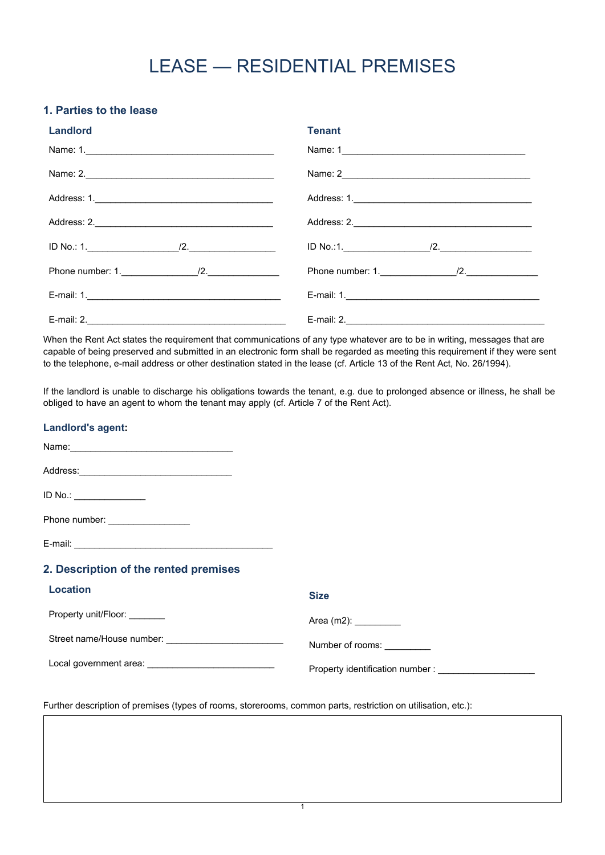# LEASE — RESIDENTIAL PREMISES

# **1. Parties to the lease**

| <b>Landlord</b> | <b>Tenant</b> |
|-----------------|---------------|
| Name: 1.        | Name: 1       |
| Name: 2.        |               |
|                 |               |
|                 |               |
|                 |               |
|                 |               |
|                 |               |
|                 |               |

When the Rent Act states the requirement that communications of any type whatever are to be in writing, messages that are capable of being preserved and submitted in an electronic form shall be regarded as meeting this requirement if they were sent to the telephone, e-mail address or other destination stated in the lease (cf. Article 13 of the Rent Act, No. 26/1994).

If the landlord is unable to discharge his obligations towards the tenant, e.g. due to prolonged absence or illness, he shall be obliged to have an agent to whom the tenant may apply (cf. Article 7 of the Rent Act).

| <b>Landlord's agent:</b>                                |                                                            |
|---------------------------------------------------------|------------------------------------------------------------|
|                                                         |                                                            |
|                                                         |                                                            |
| ID No.:                                                 |                                                            |
| Phone number: _________________                         |                                                            |
|                                                         |                                                            |
| 2. Description of the rented premises                   |                                                            |
| <b>Location</b>                                         | <b>Size</b>                                                |
| Property unit/Floor: _______                            | Area (m2): __________                                      |
|                                                         | Number of rooms:                                           |
| Local government area: ________________________________ | Property identification number : _________________________ |

1

Further description of premises (types of rooms, storerooms, common parts, restriction on utilisation, etc.):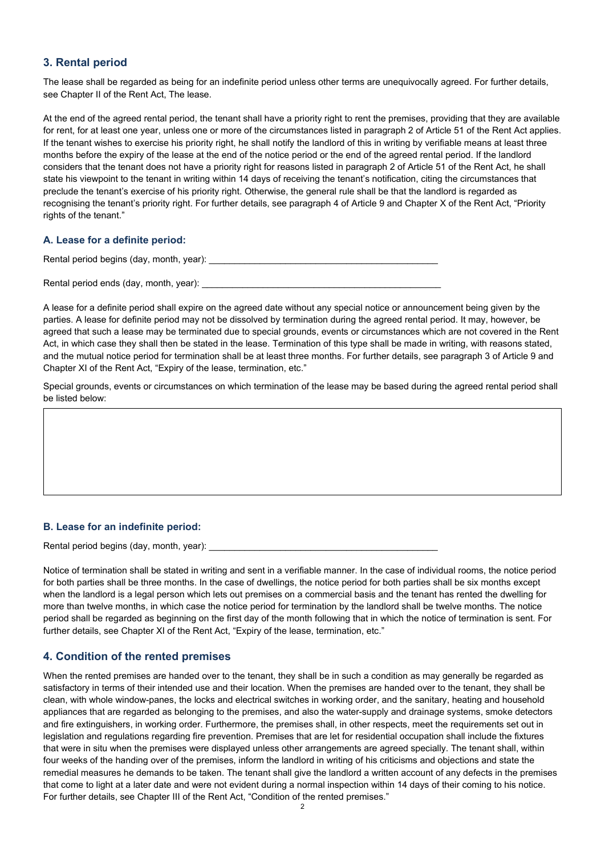## **3. Rental period**

The lease shall be regarded as being for an indefinite period unless other terms are unequivocally agreed. For further details, see Chapter II of the Rent Act, The lease.

At the end of the agreed rental period, the tenant shall have a priority right to rent the premises, providing that they are available for rent, for at least one year, unless one or more of the circumstances listed in paragraph 2 of Article 51 of the Rent Act applies. If the tenant wishes to exercise his priority right, he shall notify the landlord of this in writing by verifiable means at least three months before the expiry of the lease at the end of the notice period or the end of the agreed rental period. If the landlord considers that the tenant does not have a priority right for reasons listed in paragraph 2 of Article 51 of the Rent Act, he shall state his viewpoint to the tenant in writing within 14 days of receiving the tenant's notification, citing the circumstances that preclude the tenant's exercise of his priority right. Otherwise, the general rule shall be that the landlord is regarded as recognising the tenant's priority right. For further details, see paragraph 4 of Article 9 and Chapter X of the Rent Act, "Priority rights of the tenant."

#### **A. Lease for a definite period:**

Rental period begins (day, month, year):

Rental period ends (day, month, year): \_\_\_\_\_\_

A lease for a definite period shall expire on the agreed date without any special notice or announcement being given by the parties. A lease for definite period may not be dissolved by termination during the agreed rental period. It may, however, be agreed that such a lease may be terminated due to special grounds, events or circumstances which are not covered in the Rent Act, in which case they shall then be stated in the lease. Termination of this type shall be made in writing, with reasons stated, and the mutual notice period for termination shall be at least three months. For further details, see paragraph 3 of Article 9 and Chapter XI of the Rent Act, "Expiry of the lease, termination, etc."

Special grounds, events or circumstances on which termination of the lease may be based during the agreed rental period shall be listed below:

#### **B. Lease for an indefinite period:**

Rental period begins (day, month, year):

Notice of termination shall be stated in writing and sent in a verifiable manner. In the case of individual rooms, the notice period for both parties shall be three months. In the case of dwellings, the notice period for both parties shall be six months except when the landlord is a legal person which lets out premises on a commercial basis and the tenant has rented the dwelling for more than twelve months, in which case the notice period for termination by the landlord shall be twelve months. The notice period shall be regarded as beginning on the first day of the month following that in which the notice of termination is sent. For further details, see Chapter XI of the Rent Act, "Expiry of the lease, termination, etc."

#### **4. Condition of the rented premises**

When the rented premises are handed over to the tenant, they shall be in such a condition as may generally be regarded as satisfactory in terms of their intended use and their location. When the premises are handed over to the tenant, they shall be clean, with whole window-panes, the locks and electrical switches in working order, and the sanitary, heating and household appliances that are regarded as belonging to the premises, and also the water-supply and drainage systems, smoke detectors and fire extinguishers, in working order. Furthermore, the premises shall, in other respects, meet the requirements set out in legislation and regulations regarding fire prevention. Premises that are let for residential occupation shall include the fixtures that were in situ when the premises were displayed unless other arrangements are agreed specially. The tenant shall, within four weeks of the handing over of the premises, inform the landlord in writing of his criticisms and objections and state the remedial measures he demands to be taken. The tenant shall give the landlord a written account of any defects in the premises that come to light at a later date and were not evident during a normal inspection within 14 days of their coming to his notice. For further details, see Chapter III of the Rent Act, "Condition of the rented premises."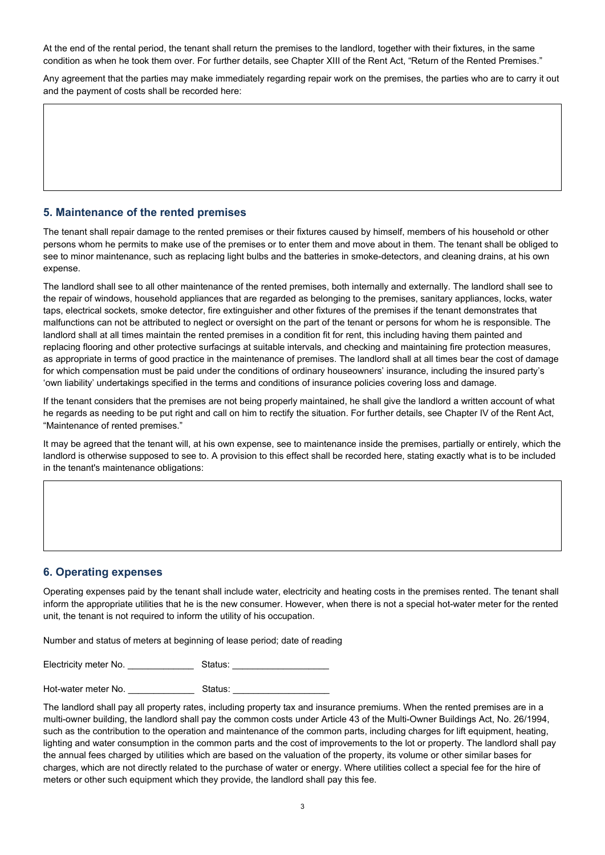At the end of the rental period, the tenant shall return the premises to the landlord, together with their fixtures, in the same condition as when he took them over. For further details, see Chapter XIII of the Rent Act, "Return of the Rented Premises."

Any agreement that the parties may make immediately regarding repair work on the premises, the parties who are to carry it out and the payment of costs shall be recorded here:

#### **5. Maintenance of the rented premises**

The tenant shall repair damage to the rented premises or their fixtures caused by himself, members of his household or other persons whom he permits to make use of the premises or to enter them and move about in them. The tenant shall be obliged to see to minor maintenance, such as replacing light bulbs and the batteries in smoke-detectors, and cleaning drains, at his own expense.

The landlord shall see to all other maintenance of the rented premises, both internally and externally. The landlord shall see to the repair of windows, household appliances that are regarded as belonging to the premises, sanitary appliances, locks, water taps, electrical sockets, smoke detector, fire extinguisher and other fixtures of the premises if the tenant demonstrates that malfunctions can not be attributed to neglect or oversight on the part of the tenant or persons for whom he is responsible. The landlord shall at all times maintain the rented premises in a condition fit for rent, this including having them painted and replacing flooring and other protective surfacings at suitable intervals, and checking and maintaining fire protection measures, as appropriate in terms of good practice in the maintenance of premises. The landlord shall at all times bear the cost of damage for which compensation must be paid under the conditions of ordinary houseowners' insurance, including the insured party's 'own liability' undertakings specified in the terms and conditions of insurance policies covering loss and damage.

If the tenant considers that the premises are not being properly maintained, he shall give the landlord a written account of what he regards as needing to be put right and call on him to rectify the situation. For further details, see Chapter IV of the Rent Act, "Maintenance of rented premises."

It may be agreed that the tenant will, at his own expense, see to maintenance inside the premises, partially or entirely, which the landlord is otherwise supposed to see to. A provision to this effect shall be recorded here, stating exactly what is to be included in the tenant's maintenance obligations:

#### **6. Operating expenses**

Operating expenses paid by the tenant shall include water, electricity and heating costs in the premises rented. The tenant shall inform the appropriate utilities that he is the new consumer. However, when there is not a special hot-water meter for the rented unit, the tenant is not required to inform the utility of his occupation.

Number and status of meters at beginning of lease period; date of reading

Electricity meter No. \_\_\_\_\_\_\_\_\_\_\_\_\_ Status: \_\_\_\_\_\_\_\_\_\_\_\_\_\_\_\_\_\_\_

Hot-water meter No. \_\_\_\_\_\_\_\_\_\_\_\_\_ Status: \_\_\_\_\_\_\_\_\_\_\_\_\_\_\_\_\_\_\_

The landlord shall pay all property rates, including property tax and insurance premiums. When the rented premises are in a multi-owner building, the landlord shall pay the common costs under Article 43 of the Multi-Owner Buildings Act, No. 26/1994, such as the contribution to the operation and maintenance of the common parts, including charges for lift equipment, heating, lighting and water consumption in the common parts and the cost of improvements to the lot or property. The landlord shall pay the annual fees charged by utilities which are based on the valuation of the property, its volume or other similar bases for charges, which are not directly related to the purchase of water or energy. Where utilities collect a special fee for the hire of meters or other such equipment which they provide, the landlord shall pay this fee.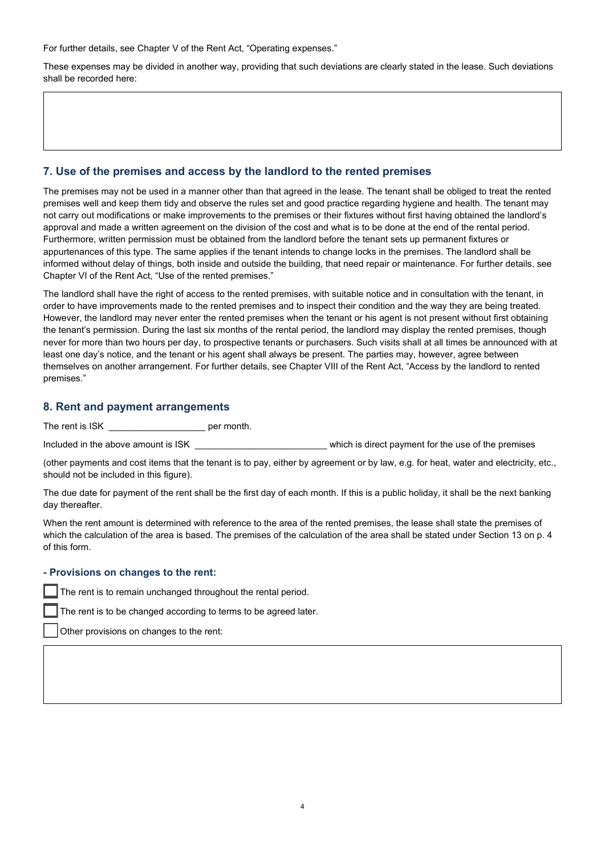For further details, see Chapter V of the Rent Act, "Operating expenses."

These expenses may be divided in another way, providing that such deviations are clearly stated in the lease. Such deviations shall be recorded here:

### **7. Use of the premises and access by the landlord to the rented premises**

The premises may not be used in a manner other than that agreed in the lease. The tenant shall be obliged to treat the rented premises well and keep them tidy and observe the rules set and good practice regarding hygiene and health. The tenant may not carry out modifications or make improvements to the premises or their fixtures without first having obtained the landlord's approval and made a written agreement on the division of the cost and what is to be done at the end of the rental period. Furthermore, written permission must be obtained from the landlord before the tenant sets up permanent fixtures or appurtenances of this type. The same applies if the tenant intends to change locks in the premises. The landlord shall be informed without delay of things, both inside and outside the building, that need repair or maintenance. For further details, see Chapter VI of the Rent Act, "Use of the rented premises."

The landlord shall have the right of access to the rented premises, with suitable notice and in consultation with the tenant, in order to have improvements made to the rented premises and to inspect their condition and the way they are being treated. However, the landlord may never enter the rented premises when the tenant or his agent is not present without first obtaining the tenant's permission. During the last six months of the rental period, the landlord may display the rented premises, though never for more than two hours per day, to prospective tenants or purchasers. Such visits shall at all times be announced with at least one day's notice, and the tenant or his agent shall always be present. The parties may, however, agree between themselves on another arrangement. For further details, see Chapter VIII of the Rent Act, "Access by the landlord to rented premises."

#### **8. Rent and payment arrangements**

The rent is ISK per month.

Included in the above amount is ISK **Exercise** which is direct payment for the use of the premises

(other payments and cost items that the tenant is to pay, either by agreement or by law, e.g. for heat, water and electricity, etc., should not be included in this figure).

The due date for payment of the rent shall be the first day of each month. If this is a public holiday, it shall be the next banking day thereafter.

When the rent amount is determined with reference to the area of the rented premises, the lease shall state the premises of which the calculation of the area is based. The premises of the calculation of the area shall be stated under Section 13 on p. 4 of this form.

#### **- Provisions on changes to the rent:**

The rent is to remain unchanged throughout the rental period.

The rent is to be changed according to terms to be agreed later.

Other provisions on changes to the rent: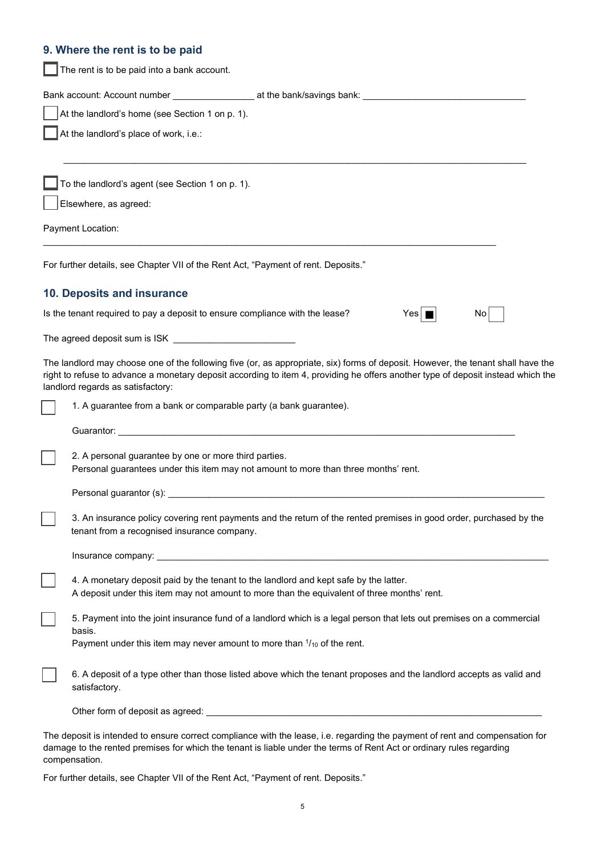#### **9. Where the rent is to be paid**

The rent is to be paid into a bank account.

| Bank account: Account number | at the bank/savings bank: |  |
|------------------------------|---------------------------|--|
|                              |                           |  |

 $\_$  ,  $\_$  ,  $\_$  ,  $\_$  ,  $\_$  ,  $\_$  ,  $\_$  ,  $\_$  ,  $\_$  ,  $\_$  ,  $\_$  ,  $\_$  ,  $\_$  ,  $\_$  ,  $\_$  ,  $\_$  ,  $\_$  ,  $\_$  ,  $\_$  ,  $\_$  ,  $\_$  ,  $\_$  ,  $\_$  ,  $\_$  ,  $\_$  ,  $\_$  ,  $\_$  ,  $\_$  ,  $\_$  ,  $\_$  ,  $\_$  ,  $\_$  ,  $\_$  ,  $\_$  ,  $\_$  ,  $\_$  ,  $\_$  ,

 $\_$  , and the set of the set of the set of the set of the set of the set of the set of the set of the set of the set of the set of the set of the set of the set of the set of the set of the set of the set of the set of th

| At the landlord's home (see Section 1 on p. 1). |  |
|-------------------------------------------------|--|
|-------------------------------------------------|--|

At the landlord's place of work, i.e.:

To the landlord's agent (see Section 1 on p. 1).

Elsewhere, as agreed:

Payment Location:

For further details, see Chapter VII of the Rent Act, "Payment of rent. Deposits."

#### **10. Deposits and insurance**

Is the tenant required to pay a deposit to ensure compliance with the lease?  $Yes \Box$  No

The agreed deposit sum is ISK

The landlord may choose one of the following five (or, as appropriate, six) forms of deposit. However, the tenant shall have the right to refuse to advance a monetary deposit according to item 4, providing he offers another type of deposit instead which the landlord regards as satisfactory:

■

| 1. A guarantee from a bank or comparable party (a bank guarantee).                                                                                                 |
|--------------------------------------------------------------------------------------------------------------------------------------------------------------------|
| Guarantor:                                                                                                                                                         |
| 2. A personal guarantee by one or more third parties.<br>Personal guarantees under this item may not amount to more than three months' rent.                       |
| Personal guarantor (s):                                                                                                                                            |
| 3. An insurance policy covering rent payments and the return of the rented premises in good order, purchased by the<br>tenant from a recognised insurance company. |

| urance company:<br>Inst<br>the contract of the contract of the contract of the contract of the contract of the contract of the contract of |  |
|--------------------------------------------------------------------------------------------------------------------------------------------|--|
|                                                                                                                                            |  |

4. A monetary deposit paid by the tenant to the landlord and kept safe by the latter. A deposit under this item may not amount to more than the equivalent of three months' rent.

5. Payment into the joint insurance fund of a landlord which is a legal person that lets out premises on a commercial basis.

Payment under this item may never amount to more than  $1/10$  of the rent.

☐ 6. A deposit of a type other than those listed above which the tenant proposes and the landlord accepts as valid and satisfactory.

Other form of deposit as agreed:  $\Box$ 

The deposit is intended to ensure correct compliance with the lease, i.e. regarding the payment of rent and compensation for damage to the rented premises for which the tenant is liable under the terms of Rent Act or ordinary rules regarding compensation.

For further details, see Chapter VII of the Rent Act, "Payment of rent. Deposits."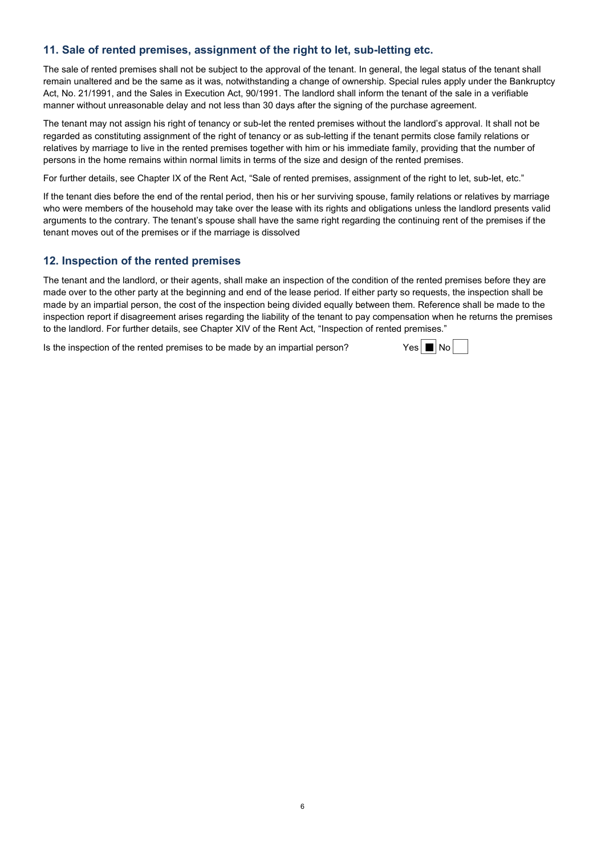## **11. Sale of rented premises, assignment of the right to let, sub-letting etc.**

The sale of rented premises shall not be subject to the approval of the tenant. In general, the legal status of the tenant shall remain unaltered and be the same as it was, notwithstanding a change of ownership. Special rules apply under the Bankruptcy Act, No. 21/1991, and the Sales in Execution Act, 90/1991. The landlord shall inform the tenant of the sale in a verifiable manner without unreasonable delay and not less than 30 days after the signing of the purchase agreement.

The tenant may not assign his right of tenancy or sub-let the rented premises without the landlord's approval. It shall not be regarded as constituting assignment of the right of tenancy or as sub-letting if the tenant permits close family relations or relatives by marriage to live in the rented premises together with him or his immediate family, providing that the number of persons in the home remains within normal limits in terms of the size and design of the rented premises.

For further details, see Chapter IX of the Rent Act, "Sale of rented premises, assignment of the right to let, sub-let, etc."

If the tenant dies before the end of the rental period, then his or her surviving spouse, family relations or relatives by marriage who were members of the household may take over the lease with its rights and obligations unless the landlord presents valid arguments to the contrary. The tenant's spouse shall have the same right regarding the continuing rent of the premises if the tenant moves out of the premises or if the marriage is dissolved

#### **12. Inspection of the rented premises**

The tenant and the landlord, or their agents, shall make an inspection of the condition of the rented premises before they are made over to the other party at the beginning and end of the lease period. If either party so requests, the inspection shall be made by an impartial person, the cost of the inspection being divided equally between them. Reference shall be made to the inspection report if disagreement arises regarding the liability of the tenant to pay compensation when he returns the premises to the landlord. For further details, see Chapter XIV of the Rent Act, "Inspection of rented premises."

Is the inspection of the rented premises to be made by an impartial person?